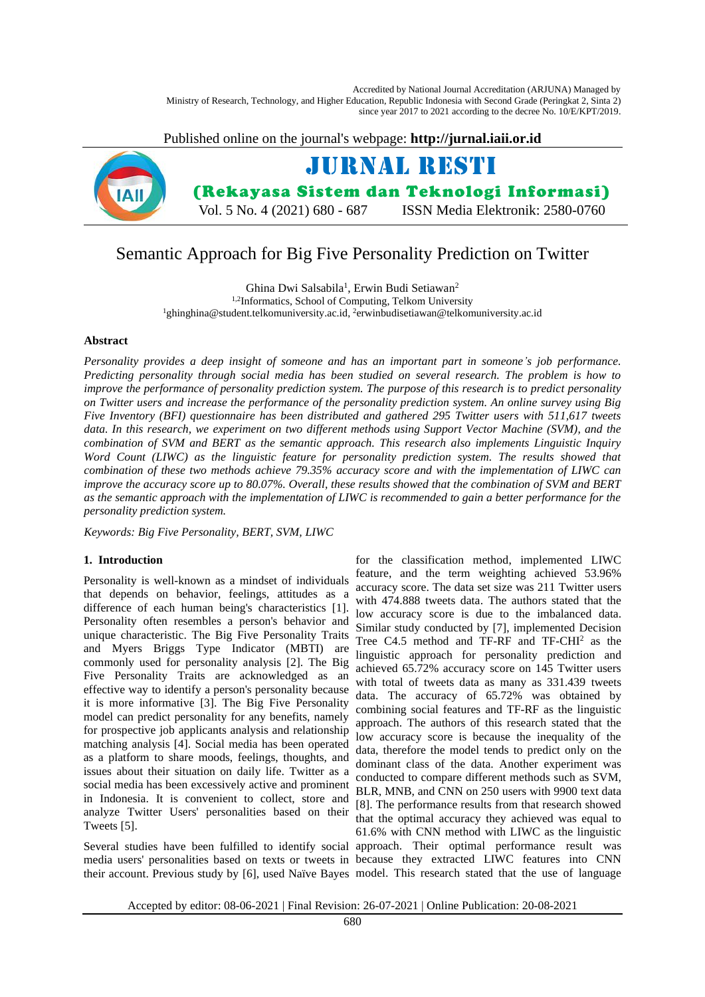Accredited by National Journal Accreditation (ARJUNA) Managed by Ministry of Research, Technology, and Higher Education, Republic Indonesia with Second Grade (Peringkat 2, Sinta 2) since year 2017 to 2021 according to the decree No. 10/E/KPT/2019.

Published online on the journal's webpage: **http://jurnal.iaii.or.id**



# Semantic Approach for Big Five Personality Prediction on Twitter

Ghina Dwi Salsabila<sup>1</sup>, Erwin Budi Setiawan<sup>2</sup> 1,2Informatics, School of Computing, Telkom University <sup>1</sup>ghinghina@student.telkomuniversity.ac.id, <sup>2</sup>erwinbudisetiawan@telkomuniversity.ac.id

# **Abstract**

*Personality provides a deep insight of someone and has an important part in someone's job performance. Predicting personality through social media has been studied on several research. The problem is how to improve the performance of personality prediction system. The purpose of this research is to predict personality on Twitter users and increase the performance of the personality prediction system. An online survey using Big Five Inventory (BFI) questionnaire has been distributed and gathered 295 Twitter users with 511,617 tweets data. In this research, we experiment on two different methods using Support Vector Machine (SVM), and the combination of SVM and BERT as the semantic approach. This research also implements Linguistic Inquiry Word Count (LIWC) as the linguistic feature for personality prediction system. The results showed that combination of these two methods achieve 79.35% accuracy score and with the implementation of LIWC can improve the accuracy score up to 80.07%. Overall, these results showed that the combination of SVM and BERT as the semantic approach with the implementation of LIWC is recommended to gain a better performance for the personality prediction system.*

*Keywords: Big Five Personality, BERT, SVM, LIWC*

# **1. Introduction**

Personality is well-known as a mindset of individuals that depends on behavior, feelings, attitudes as a difference of each human being's characteristics [1]. Personality often resembles a person's behavior and unique characteristic. The Big Five Personality Traits and Myers Briggs Type Indicator (MBTI) are commonly used for personality analysis [2]. The Big Five Personality Traits are acknowledged as an effective way to identify a person's personality because it is more informative [3]. The Big Five Personality model can predict personality for any benefits, namely for prospective job applicants analysis and relationship matching analysis [4]. Social media has been operated as a platform to share moods, feelings, thoughts, and issues about their situation on daily life. Twitter as a social media has been excessively active and prominent in Indonesia. It is convenient to collect, store and analyze Twitter Users' personalities based on their Tweets [5].

Several studies have been fulfilled to identify social approach. Their optimal performance result was media users' personalities based on texts or tweets in because they extracted LIWC features into CNN

their account. Previous study by [6], used Naïve Bayes model. This research stated that the use of language for the classification method, implemented LIWC feature, and the term weighting achieved 53.96% accuracy score. The data set size was 211 Twitter users with 474.888 tweets data. The authors stated that the low accuracy score is due to the imbalanced data. Similar study conducted by [7], implemented Decision Tree C4.5 method and TF-RF and TF-CHI<sup>2</sup> as the linguistic approach for personality prediction and achieved 65.72% accuracy score on 145 Twitter users with total of tweets data as many as 331.439 tweets data. The accuracy of 65.72% was obtained by combining social features and TF-RF as the linguistic approach. The authors of this research stated that the low accuracy score is because the inequality of the data, therefore the model tends to predict only on the dominant class of the data. Another experiment was conducted to compare different methods such as SVM, BLR, MNB, and CNN on 250 users with 9900 text data [8]. The performance results from that research showed that the optimal accuracy they achieved was equal to 61.6% with CNN method with LIWC as the linguistic

Accepted by editor: 08-06-2021 | Final Revision: 26-07-2021 | Online Publication: 20-08-2021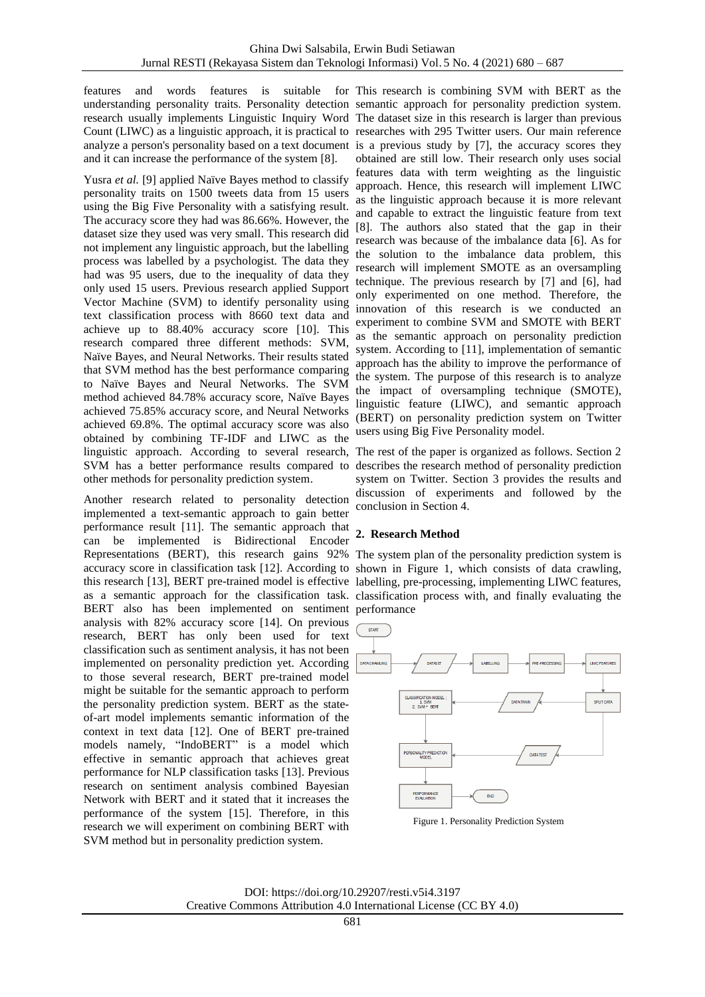features and words features is suitable for This research is combining SVM with BERT as the understanding personality traits. Personality detection semantic approach for personality prediction system. research usually implements Linguistic Inquiry Word The dataset size in this research is larger than previous Count (LIWC) as a linguistic approach, it is practical to researches with 295 Twitter users. Our main reference analyze a person's personality based on a text document is a previous study by [7], the accuracy scores they and it can increase the performance of the system [8].

Yusra *et al.* [9] applied Naïve Bayes method to classify personality traits on 1500 tweets data from 15 users using the Big Five Personality with a satisfying result. The accuracy score they had was 86.66%. However, the dataset size they used was very small. This research did not implement any linguistic approach, but the labelling process was labelled by a psychologist. The data they had was 95 users, due to the inequality of data they only used 15 users. Previous research applied Support Vector Machine (SVM) to identify personality using text classification process with 8660 text data and achieve up to 88.40% accuracy score [10]. This research compared three different methods: SVM, Naïve Bayes, and Neural Networks. Their results stated that SVM method has the best performance comparing to Naïve Bayes and Neural Networks. The SVM method achieved 84.78% accuracy score, Naïve Bayes achieved 75.85% accuracy score, and Neural Networks achieved 69.8%. The optimal accuracy score was also obtained by combining TF-IDF and LIWC as the linguistic approach. According to several research, The rest of the paper is organized as follows. Section 2 SVM has a better performance results compared to other methods for personality prediction system.

Another research related to personality detection implemented a text-semantic approach to gain better performance result [11]. The semantic approach that can be implemented is Bidirectional Encoder Representations (BERT), this research gains 92% The system plan of the personality prediction system is accuracy score in classification task [12]. According to shown in Figure 1, which consists of data crawling, this research [13], BERT pre-trained model is effective labelling, pre-processing, implementing LIWC features, as a semantic approach for the classification task. classification process with, and finally evaluating the BERT also has been implemented on sentiment performance analysis with 82% accuracy score [14]. On previous research, BERT has only been used for text classification such as sentiment analysis, it has not been implemented on personality prediction yet. According to those several research, BERT pre-trained model might be suitable for the semantic approach to perform the personality prediction system. BERT as the stateof-art model implements semantic information of the context in text data [12]. One of BERT pre-trained models namely, "IndoBERT" is a model which effective in semantic approach that achieves great performance for NLP classification tasks [13]. Previous research on sentiment analysis combined Bayesian Network with BERT and it stated that it increases the performance of the system [15]. Therefore, in this research we will experiment on combining BERT with SVM method but in personality prediction system.

obtained are still low. Their research only uses social features data with term weighting as the linguistic approach. Hence, this research will implement LIWC as the linguistic approach because it is more relevant and capable to extract the linguistic feature from text [8]. The authors also stated that the gap in their research was because of the imbalance data [6]. As for the solution to the imbalance data problem, this research will implement SMOTE as an oversampling technique. The previous research by [7] and [6], had only experimented on one method. Therefore, the innovation of this research is we conducted an experiment to combine SVM and SMOTE with BERT as the semantic approach on personality prediction system. According to [11], implementation of semantic approach has the ability to improve the performance of the system. The purpose of this research is to analyze the impact of oversampling technique (SMOTE), linguistic feature (LIWC), and semantic approach (BERT) on personality prediction system on Twitter users using Big Five Personality model.

describes the research method of personality prediction system on Twitter. Section 3 provides the results and discussion of experiments and followed by the conclusion in Section 4.

# **2. Research Method**



Figure 1. Personality Prediction System

DOI: https://doi.org/10.29207/resti.v5i4.3197 Creative Commons Attribution 4.0 International License (CC BY 4.0)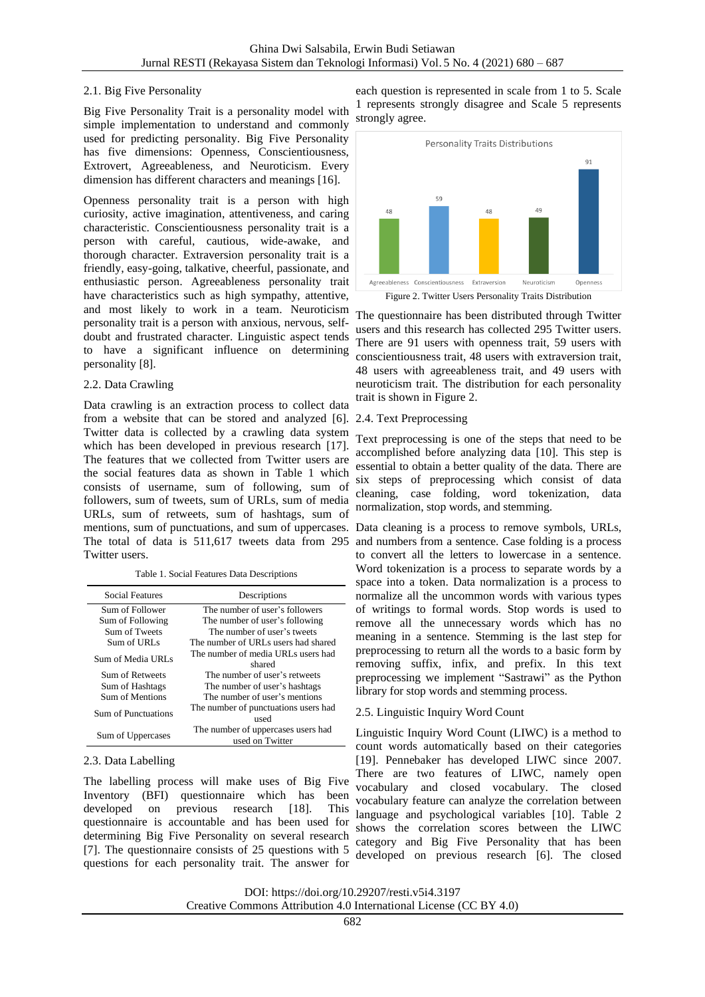# 2.1. Big Five Personality

Big Five Personality Trait is a personality model with simple implementation to understand and commonly used for predicting personality. Big Five Personality has five dimensions: Openness, Conscientiousness, Extrovert, Agreeableness, and Neuroticism. Every dimension has different characters and meanings [16].

Openness personality trait is a person with high curiosity, active imagination, attentiveness, and caring characteristic. Conscientiousness personality trait is a person with careful, cautious, wide-awake, and thorough character. Extraversion personality trait is a friendly, easy-going, talkative, cheerful, passionate, and enthusiastic person. Agreeableness personality trait have characteristics such as high sympathy, attentive, and most likely to work in a team. Neuroticism personality trait is a person with anxious, nervous, selfdoubt and frustrated character. Linguistic aspect tends to have a significant influence on determining personality [8].

# 2.2. Data Crawling

Data crawling is an extraction process to collect data from a website that can be stored and analyzed [6]. Twitter data is collected by a crawling data system which has been developed in previous research [17]. The features that we collected from Twitter users are the social features data as shown in Table 1 which consists of username, sum of following, sum of followers, sum of tweets, sum of URLs, sum of media URLs, sum of retweets, sum of hashtags, sum of mentions, sum of punctuations, and sum of uppercases. Data cleaning is a process to remove symbols, URLs, The total of data is 511,617 tweets data from 295 Twitter users.

Table 1. Social Features Data Descriptions

| Social Features     | Descriptions                                          |  |
|---------------------|-------------------------------------------------------|--|
| Sum of Follower     | The number of user's followers                        |  |
| Sum of Following    | The number of user's following                        |  |
| Sum of Tweets       | The number of user's tweets                           |  |
| Sum of URLs         | The number of URLs users had shared                   |  |
| Sum of Media URLs   | The number of media URLs users had<br>shared          |  |
| Sum of Retweets     | The number of user's retweets                         |  |
| Sum of Hashtags     | The number of user's hashtags                         |  |
| Sum of Mentions     | The number of user's mentions                         |  |
| Sum of Punctuations | The number of punctuations users had<br>used          |  |
| Sum of Uppercases   | The number of uppercases users had<br>used on Twitter |  |

# 2.3. Data Labelling

The labelling process will make uses of Big Five Inventory (BFI) questionnaire which has been developed on previous research [18]. This questionnaire is accountable and has been used for determining Big Five Personality on several research [7]. The questionnaire consists of 25 questions with 5 questions for each personality trait. The answer for

each question is represented in scale from 1 to 5. Scale 1 represents strongly disagree and Scale 5 represents strongly agree.



The questionnaire has been distributed through Twitter users and this research has collected 295 Twitter users. There are 91 users with openness trait, 59 users with conscientiousness trait, 48 users with extraversion trait, 48 users with agreeableness trait, and 49 users with neuroticism trait. The distribution for each personality trait is shown in Figure 2.

# 2.4. Text Preprocessing

Text preprocessing is one of the steps that need to be accomplished before analyzing data [10]. This step is essential to obtain a better quality of the data. There are six steps of preprocessing which consist of data cleaning, case folding, word tokenization, data normalization, stop words, and stemming.

and numbers from a sentence. Case folding is a process to convert all the letters to lowercase in a sentence. Word tokenization is a process to separate words by a space into a token. Data normalization is a process to normalize all the uncommon words with various types of writings to formal words. Stop words is used to remove all the unnecessary words which has no meaning in a sentence. Stemming is the last step for preprocessing to return all the words to a basic form by removing suffix, infix, and prefix. In this text preprocessing we implement "Sastrawi" as the Python library for stop words and stemming process.

# 2.5. Linguistic Inquiry Word Count

Linguistic Inquiry Word Count (LIWC) is a method to count words automatically based on their categories [19]. Pennebaker has developed LIWC since 2007. There are two features of LIWC, namely open vocabulary and closed vocabulary. The closed vocabulary feature can analyze the correlation between language and psychological variables [10]. Table 2 shows the correlation scores between the LIWC category and Big Five Personality that has been developed on previous research [6]. The closed

DOI: https://doi.org/10.29207/resti.v5i4.3197 Creative Commons Attribution 4.0 International License (CC BY 4.0)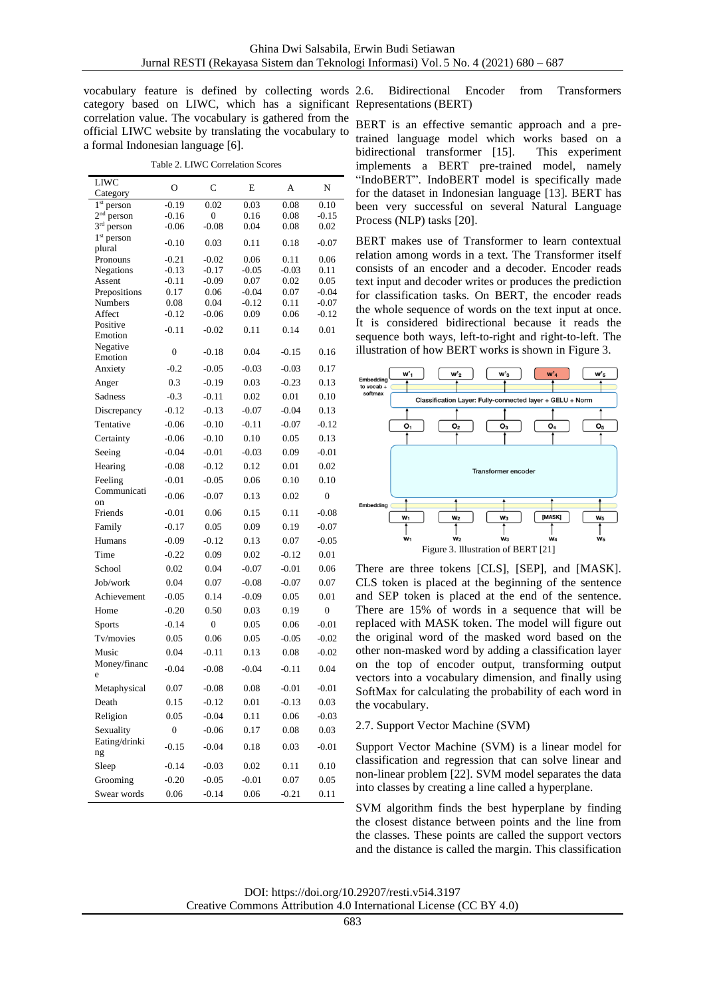vocabulary feature is defined by collecting words 2.6. Bidirectional Encoder from Transformers category based on LIWC, which has a significant Representations (BERT) correlation value. The vocabulary is gathered from the official LIWC website by translating the vocabulary to a formal Indonesian language [6].

Table 2. LIWC Correlation Scores

| <b>LIWC</b>                           | O                | C                | E               | А            | N                |
|---------------------------------------|------------------|------------------|-----------------|--------------|------------------|
| Category<br>1 <sup>st</sup><br>person | $-0.19$          | 0.02             | 0.03            | 0.08         | 0.10             |
| $2nd$ person                          | $-0.16$          | 0                | 0.16            | 0.08         | $-0.15$          |
| 3 <sup>rd</sup> person                | $-0.06$          | $-0.08$          | 0.04            | 0.08         | 0.02             |
| $1st$ person                          | $-0.10$          | 0.03             | 0.11            | 0.18         | $-0.07$          |
| plural                                |                  |                  |                 |              |                  |
| Pronouns                              | $-0.21$          | $-0.02$          | 0.06            | 0.11         | 0.06             |
| Negations                             | $-0.13$          | $-0.17$          | $-0.05$         | $-0.03$      | 0.11             |
| Assent<br>Prepositions                | $-0.11$<br>0.17  | $-0.09$<br>0.06  | 0.07<br>$-0.04$ | 0.02<br>0.07 | 0.05<br>$-0.04$  |
| Numbers                               | 0.08             | 0.04             | $-0.12$         | 0.11         | $-0.07$          |
| Affect                                | $-0.12$          | $-0.06$          | 0.09            | 0.06         | $-0.12$          |
| Positive                              | $-0.11$          | $-0.02$          | 0.11            | 0.14         | 0.01             |
| Emotion                               |                  |                  |                 |              |                  |
| Negative                              | $\boldsymbol{0}$ | $-0.18$          | 0.04            | $-0.15$      | 0.16             |
| Emotion                               | $-0.2$           |                  |                 |              |                  |
| Anxiety                               |                  | $-0.05$          | $-0.03$         | $-0.03$      | 0.17             |
| Anger                                 | 0.3              | $-0.19$          | 0.03            | $-0.23$      | 0.13             |
| Sadness                               | $-0.3$           | $-0.11$          | 0.02            | 0.01         | 0.10             |
| Discrepancy                           | $-0.12$          | $-0.13$          | $-0.07$         | $-0.04$      | 0.13             |
| Tentative                             | $-0.06$          | $-0.10$          | $-0.11$         | $-0.07$      | $-0.12$          |
| Certainty                             | $-0.06$          | $-0.10$          | 0.10            | 0.05         | 0.13             |
| Seeing                                | $-0.04$          | $-0.01$          | $-0.03$         | 0.09         | $-0.01$          |
| Hearing                               | $-0.08$          | $-0.12$          | 0.12            | 0.01         | 0.02             |
| Feeling                               | $-0.01$          | $-0.05$          | 0.06            | 0.10         | 0.10             |
| Communicati                           |                  |                  |                 |              |                  |
| on                                    | $-0.06$          | $-0.07$          | 0.13            | 0.02         | $\boldsymbol{0}$ |
| Friends                               | $-0.01$          | 0.06             | 0.15            | 0.11         | $-0.08$          |
| Family                                | $-0.17$          | 0.05             | 0.09            | 0.19         | $-0.07$          |
| Humans                                | $-0.09$          | $-0.12$          | 0.13            | 0.07         | $-0.05$          |
| Time                                  | $-0.22$          | 0.09             | 0.02            | $-0.12$      | 0.01             |
| School                                | 0.02             | 0.04             | $-0.07$         | $-0.01$      | 0.06             |
| Job/work                              | 0.04             | 0.07             | $-0.08$         | $-0.07$      | 0.07             |
| Achievement                           | $-0.05$          | 0.14             | $-0.09$         | 0.05         | 0.01             |
|                                       |                  |                  |                 |              |                  |
| Home                                  | $-0.20$          | 0.50             | 0.03            | 0.19         | $\boldsymbol{0}$ |
| <b>Sports</b>                         | $-0.14$          | $\boldsymbol{0}$ | 0.05            | 0.06         | $-0.01$          |
| Tv/movies                             | 0.05             | 0.06             | 0.05            | $-0.05$      | $-0.02$          |
| Music                                 | 0.04             | $-0.11$          | 0.13            | 0.08         | $-0.02$          |
| Money/financ<br>e                     | $-0.04$          | $-0.08$          | $-0.04$         | $-0.11$      | 0.04             |
| Metaphysical                          | 0.07             | $-0.08$          | 0.08            | $-0.01$      | $-0.01$          |
| Death                                 | 0.15             | $-0.12$          | 0.01            | $-0.13$      | 0.03             |
| Religion                              | 0.05             | $-0.04$          | 0.11            | 0.06         | $-0.03$          |
| Sexuality                             | $\boldsymbol{0}$ | $-0.06$          | 0.17            | 0.08         | 0.03             |
| Eating/drinki                         |                  |                  |                 |              |                  |
| ng                                    | $-0.15$          | $-0.04$          | 0.18            | 0.03         | $-0.01$          |
| Sleep                                 | $-0.14$          | $-0.03$          | 0.02            | 0.11         | 0.10             |
| Grooming                              | $-0.20$          | $-0.05$          | $-0.01$         | 0.07         | 0.05             |
| Swear words                           | 0.06             | $-0.14$          | 0.06            | $-0.21$      | 0.11             |
|                                       |                  |                  |                 |              |                  |

BERT is an effective semantic approach and a pretrained language model which works based on a bidirectional transformer [15]. This experiment implements a BERT pre-trained model, namely "IndoBERT". IndoBERT model is specifically made for the dataset in Indonesian language [13]. BERT has been very successful on several Natural Language Process (NLP) tasks [20].

BERT makes use of Transformer to learn contextual relation among words in a text. The Transformer itself consists of an encoder and a decoder. Encoder reads text input and decoder writes or produces the prediction for classification tasks. On BERT, the encoder reads the whole sequence of words on the text input at once. It is considered bidirectional because it reads the sequence both ways, left-to-right and right-to-left. The illustration of how BERT works is shown in Figure 3.



There are three tokens [CLS], [SEP], and [MASK]. CLS token is placed at the beginning of the sentence and SEP token is placed at the end of the sentence. There are 15% of words in a sequence that will be replaced with MASK token. The model will figure out the original word of the masked word based on the other non-masked word by adding a classification layer on the top of encoder output, transforming output vectors into a vocabulary dimension, and finally using SoftMax for calculating the probability of each word in the vocabulary.

2.7. Support Vector Machine (SVM)

Support Vector Machine (SVM) is a linear model for classification and regression that can solve linear and non-linear problem [22]. SVM model separates the data into classes by creating a line called a hyperplane.

SVM algorithm finds the best hyperplane by finding the closest distance between points and the line from the classes. These points are called the support vectors and the distance is called the margin. This classification

| DOI: https://doi.org/10.29207/resti.v5i4.3197                      |  |
|--------------------------------------------------------------------|--|
| Creative Commons Attribution 4.0 International License (CC BY 4.0) |  |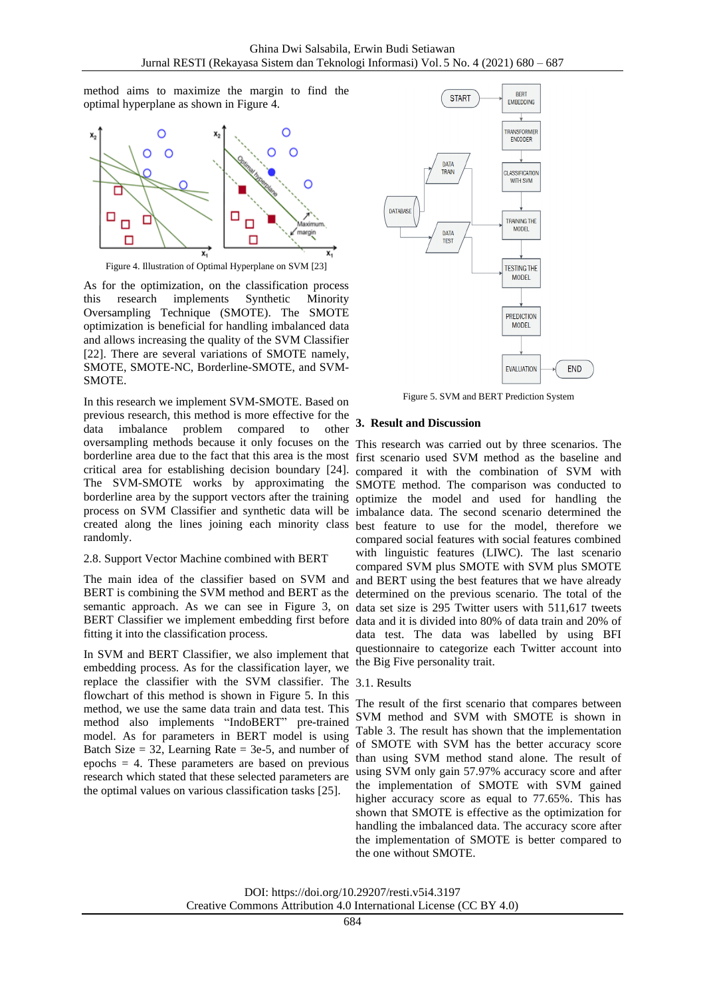method aims to maximize the margin to find the optimal hyperplane as shown in Figure 4.



As for the optimization, on the classification process this research implements Synthetic Minority Oversampling Technique (SMOTE). The SMOTE optimization is beneficial for handling imbalanced data and allows increasing the quality of the SVM Classifier [22]. There are several variations of SMOTE namely, SMOTE, SMOTE-NC, Borderline-SMOTE, and SVM-SMOTE.

In this research we implement SVM-SMOTE. Based on previous research, this method is more effective for the data imbalance problem compared to other oversampling methods because it only focuses on the This research was carried out by three scenarios. The borderline area due to the fact that this area is the most first scenario used SVM method as the baseline and critical area for establishing decision boundary [24]. compared it with the combination of SVM with The SVM-SMOTE works by approximating the SMOTE method. The comparison was conducted to borderline area by the support vectors after the training optimize the model and used for handling the process on SVM Classifier and synthetic data will be imbalance data. The second scenario determined the created along the lines joining each minority class best feature to use for the model, therefore we randomly.

#### 2.8. Support Vector Machine combined with BERT

The main idea of the classifier based on SVM and BERT is combining the SVM method and BERT as the semantic approach. As we can see in Figure 3, on data set size is 295 Twitter users with 511,617 tweets BERT Classifier we implement embedding first before data and it is divided into 80% of data train and 20% of fitting it into the classification process.

In SVM and BERT Classifier, we also implement that embedding process. As for the classification layer, we replace the classifier with the SVM classifier. The 3.1. Results flowchart of this method is shown in Figure 5. In this method, we use the same data train and data test. This method also implements "IndoBERT" pre-trained model. As for parameters in BERT model is using Batch Size  $= 32$ , Learning Rate  $= 3e-5$ , and number of epochs = 4. These parameters are based on previous research which stated that these selected parameters are the optimal values on various classification tasks [25].



Figure 5. SVM and BERT Prediction System

# **3. Result and Discussion**

compared social features with social features combined with linguistic features (LIWC). The last scenario compared SVM plus SMOTE with SVM plus SMOTE and BERT using the best features that we have already determined on the previous scenario. The total of the data test. The data was labelled by using BFI questionnaire to categorize each Twitter account into the Big Five personality trait.

The result of the first scenario that compares between SVM method and SVM with SMOTE is shown in Table 3. The result has shown that the implementation of SMOTE with SVM has the better accuracy score than using SVM method stand alone. The result of using SVM only gain 57.97% accuracy score and after the implementation of SMOTE with SVM gained higher accuracy score as equal to 77.65%. This has shown that SMOTE is effective as the optimization for handling the imbalanced data. The accuracy score after the implementation of SMOTE is better compared to the one without SMOTE.

DOI: https://doi.org/10.29207/resti.v5i4.3197 Creative Commons Attribution 4.0 International License (CC BY 4.0)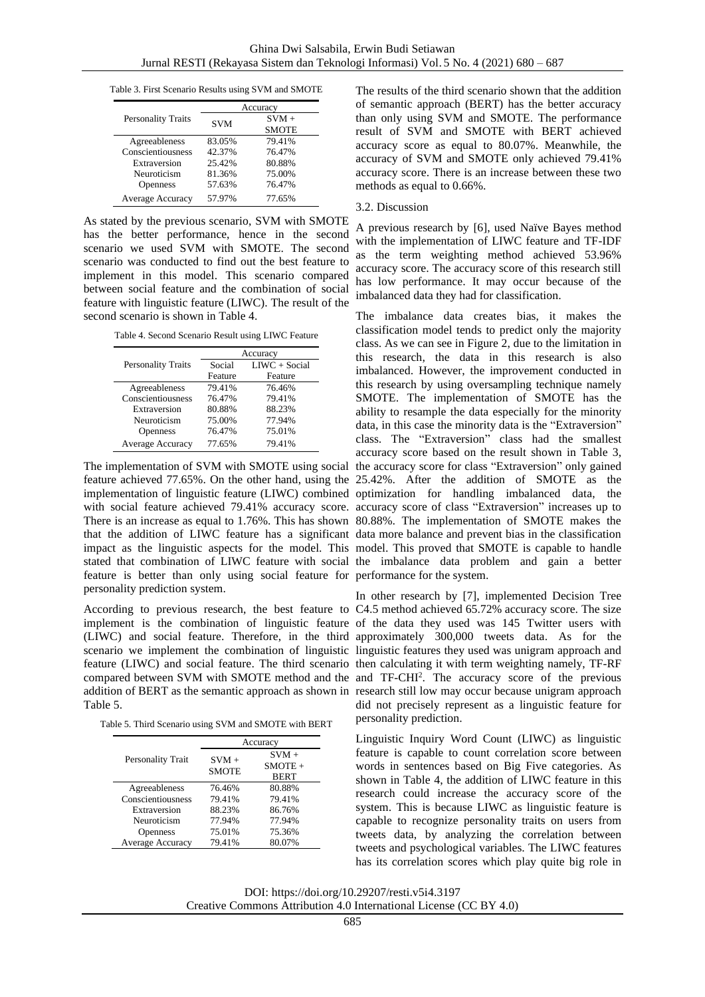Table 3. First Scenario Results using SVM and SMOTE

|                           | Accuracy   |                         |  |
|---------------------------|------------|-------------------------|--|
| <b>Personality Traits</b> | <b>SVM</b> | $SVM +$<br><b>SMOTE</b> |  |
| Agreeableness             | 83.05%     | 79.41%                  |  |
| Conscientiousness         | 42.37%     | 76.47%                  |  |
| Extraversion              | 25.42%     | 80.88%                  |  |
| Neuroticism               | 81.36%     | 75.00%                  |  |
| Openness                  | 57.63%     | 76.47%                  |  |
| Average Accuracy          | 57.97%     | 77.65%                  |  |

As stated by the previous scenario, SVM with SMOTE has the better performance, hence in the second scenario we used SVM with SMOTE. The second scenario was conducted to find out the best feature to implement in this model. This scenario compared between social feature and the combination of social feature with linguistic feature (LIWC). The result of the second scenario is shown in Table 4.

Table 4. Second Scenario Result using LIWC Feature

|                           | Accuracy |                 |  |
|---------------------------|----------|-----------------|--|
| <b>Personality Traits</b> | Social   | $LIVC + Social$ |  |
|                           | Feature  | Feature         |  |
| Agreeableness             | 79.41%   | 76.46%          |  |
| Conscientiousness         | 76.47%   | 79.41%          |  |
| Extraversion              | 80.88%   | 88.23%          |  |
| Neuroticism               | 75.00%   | 77.94%          |  |
| <b>Openness</b>           | 76.47%   | 75.01%          |  |
| Average Accuracy          | 77.65%   | 79.41%          |  |

that the addition of LIWC feature has a significant data more balance and prevent bias in the classification impact as the linguistic aspects for the model. This model. This proved that SMOTE is capable to handle feature is better than only using social feature for performance for the system. personality prediction system.

According to previous research, the best feature to C4.5 method achieved 65.72% accuracy score. The size implement is the combination of linguistic feature of the data they used was 145 Twitter users with (LIWC) and social feature. Therefore, in the third approximately 300,000 tweets data. As for the scenario we implement the combination of linguistic linguistic features they used was unigram approach and feature (LIWC) and social feature. The third scenario then calculating it with term weighting namely, TF-RF compared between SVM with SMOTE method and the and TF-CHI<sup>2</sup> . The accuracy score of the previous addition of BERT as the semantic approach as shown in research still low may occur because unigram approach Table 5.

Table 5. Third Scenario using SVM and SMOTE with BERT

|                         | Accuracy                |                                     |  |
|-------------------------|-------------------------|-------------------------------------|--|
| Personality Trait       | $SVM +$<br><b>SMOTE</b> | $SVM +$<br>$SMOTE +$<br><b>BERT</b> |  |
| Agreeableness           | 76.46%                  | 80.88%                              |  |
| Conscientiousness       | 79.41%                  | 79.41%                              |  |
| Extraversion            | 88.23%                  | 86.76%                              |  |
| Neuroticism             | 77.94%                  | 77.94%                              |  |
| Openness                | 75.01%                  | 75.36%                              |  |
| <b>Average Accuracy</b> | 79.41%                  | 80.07%                              |  |

The results of the third scenario shown that the addition of semantic approach (BERT) has the better accuracy than only using SVM and SMOTE. The performance result of SVM and SMOTE with BERT achieved accuracy score as equal to 80.07%. Meanwhile, the accuracy of SVM and SMOTE only achieved 79.41% accuracy score. There is an increase between these two methods as equal to 0.66%.

#### 3.2. Discussion

A previous research by [6], used Naïve Bayes method with the implementation of LIWC feature and TF-IDF as the term weighting method achieved 53.96% accuracy score. The accuracy score of this research still has low performance. It may occur because of the imbalanced data they had for classification.

The implementation of SVM with SMOTE using social the accuracy score for class "Extraversion" only gained feature achieved 77.65%. On the other hand, using the 25.42%. After the addition of SMOTE as the implementation of linguistic feature (LIWC) combined optimization for handling imbalanced data, the with social feature achieved 79.41% accuracy score. accuracy score of class "Extraversion" increases up to There is an increase as equal to 1.76%. This has shown 80.88%. The implementation of SMOTE makes the stated that combination of LIWC feature with social the imbalance data problem and gain a better The imbalance data creates bias, it makes the classification model tends to predict only the majority class. As we can see in Figure 2, due to the limitation in this research, the data in this research is also imbalanced. However, the improvement conducted in this research by using oversampling technique namely SMOTE. The implementation of SMOTE has the ability to resample the data especially for the minority data, in this case the minority data is the "Extraversion" class. The "Extraversion" class had the smallest accuracy score based on the result shown in Table 3,

> In other research by [7], implemented Decision Tree did not precisely represent as a linguistic feature for personality prediction.

> Linguistic Inquiry Word Count (LIWC) as linguistic feature is capable to count correlation score between words in sentences based on Big Five categories. As shown in Table 4, the addition of LIWC feature in this research could increase the accuracy score of the system. This is because LIWC as linguistic feature is capable to recognize personality traits on users from tweets data, by analyzing the correlation between tweets and psychological variables. The LIWC features has its correlation scores which play quite big role in

DOI: https://doi.org/10.29207/resti.v5i4.3197 Creative Commons Attribution 4.0 International License (CC BY 4.0)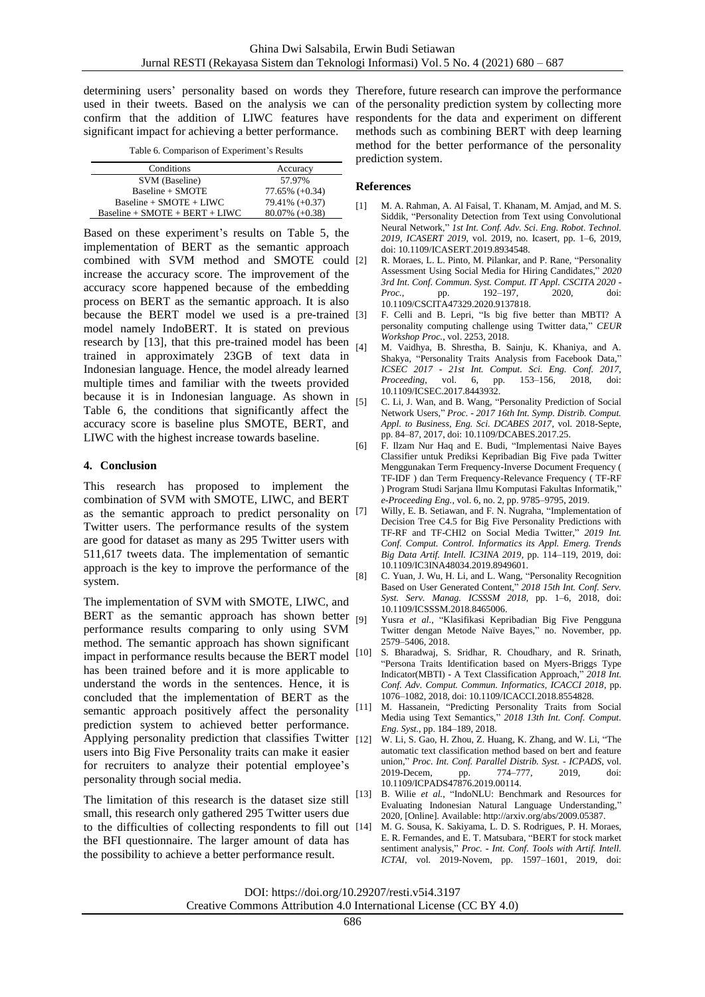determining users' personality based on words they Therefore, future research can improve the performance used in their tweets. Based on the analysis we can of the personality prediction system by collecting more confirm that the addition of LIWC features have respondents for the data and experiment on different significant impact for achieving a better performance.

Table 6. Comparison of Experiment's Results

| Conditions                       | Accuracy          |
|----------------------------------|-------------------|
| SVM (Baseline)                   | 57.97%            |
| Baseline + SMOTE                 | $77.65\% (+0.34)$ |
| $Baseline + SMOTE + LIWC$        | 79.41% (+0.37)    |
| $Baseline + SMOTE + BERT + LIWC$ | $80.07\%$ (+0.38) |

Based on these experiment's results on Table 5, the implementation of BERT as the semantic approach combined with SVM method and SMOTE could increase the accuracy score. The improvement of the accuracy score happened because of the embedding process on BERT as the semantic approach. It is also because the BERT model we used is a pre-trained model namely IndoBERT. It is stated on previous research by [13], that this pre-trained model has been  $_{[4]}$ trained in approximately 23GB of text data in Indonesian language. Hence, the model already learned multiple times and familiar with the tweets provided because it is in Indonesian language. As shown in Table 6, the conditions that significantly affect the accuracy score is baseline plus SMOTE, BERT, and LIWC with the highest increase towards baseline.

# **4. Conclusion**

This research has proposed to implement the combination of SVM with SMOTE, LIWC, and BERT as the semantic approach to predict personality on [7] Twitter users. The performance results of the system are good for dataset as many as 295 Twitter users with 511,617 tweets data. The implementation of semantic approach is the key to improve the performance of the system.

The implementation of SVM with SMOTE, LIWC, and BERT as the semantic approach has shown better  $_{[9]}$ performance results comparing to only using SVM method. The semantic approach has shown significant impact in performance results because the BERT model [10] has been trained before and it is more applicable to understand the words in the sentences. Hence, it is concluded that the implementation of BERT as the semantic approach positively affect the personality [11] prediction system to achieved better performance. Applying personality prediction that classifies Twitter [12] users into Big Five Personality traits can make it easier for recruiters to analyze their potential employee's personality through social media.

The limitation of this research is the dataset size still small, this research only gathered 295 Twitter users due to the difficulties of collecting respondents to fill out the BFI questionnaire. The larger amount of data has the possibility to achieve a better performance result.

methods such as combining BERT with deep learning method for the better performance of the personality prediction system.

# **References**

- [1] M. A. Rahman, A. Al Faisal, T. Khanam, M. Amjad, and M. S. Siddik, "Personality Detection from Text using Convolutional Neural Network," *1st Int. Conf. Adv. Sci. Eng. Robot. Technol. 2019, ICASERT 2019*, vol. 2019, no. Icasert, pp. 1–6, 2019, doi: 10.1109/ICASERT.2019.8934548.
- [2] R. Moraes, L. L. Pinto, M. Pilankar, and P. Rane, "Personality Assessment Using Social Media for Hiring Candidates," *2020 3rd Int. Conf. Commun. Syst. Comput. IT Appl. CSCITA 2020 - Proc.*, pp. 192–197, 2020, doi: 10.1109/CSCITA47329.2020.9137818.
- F. Celli and B. Lepri, "Is big five better than MBTI? A personality computing challenge using Twitter data," *CEUR Workshop Proc.*, vol. 2253, 2018.
- [4] M. Vaidhya, B. Shrestha, B. Sainju, K. Khaniya, and A. Shakya, "Personality Traits Analysis from Facebook Data," *ICSEC 2017 - 21st Int. Comput. Sci. Eng. Conf. 2017, Proceeding*, vol. 6, pp. 153–156, 2018, doi: 10.1109/ICSEC.2017.8443932.
- [5] C. Li, J. Wan, and B. Wang, "Personality Prediction of Social Network Users," *Proc. - 2017 16th Int. Symp. Distrib. Comput. Appl. to Business, Eng. Sci. DCABES 2017*, vol. 2018-Septe, pp. 84–87, 2017, doi: 10.1109/DCABES.2017.25.
- [6] F. Ilzam Nur Haq and E. Budi, "Implementasi Naive Bayes Classifier untuk Prediksi Kepribadian Big Five pada Twitter Menggunakan Term Frequency-Inverse Document Frequency ( TF-IDF ) dan Term Frequency-Relevance Frequency ( TF-RF ) Program Studi Sarjana Ilmu Komputasi Fakultas Informatik," *e-Proceeding Eng.*, vol. 6, no. 2, pp. 9785–9795, 2019.
- Willy, E. B. Setiawan, and F. N. Nugraha, "Implementation of Decision Tree C4.5 for Big Five Personality Predictions with TF-RF and TF-CHI2 on Social Media Twitter," *2019 Int. Conf. Comput. Control. Informatics its Appl. Emerg. Trends Big Data Artif. Intell. IC3INA 2019*, pp. 114–119, 2019, doi: 10.1109/IC3INA48034.2019.8949601.
- [8] C. Yuan, J. Wu, H. Li, and L. Wang, "Personality Recognition Based on User Generated Content," *2018 15th Int. Conf. Serv. Syst. Serv. Manag. ICSSSM 2018*, pp. 1–6, 2018, doi: 10.1109/ICSSSM.2018.8465006.
- Yusra et al., "Klasifikasi Kepribadian Big Five Pengguna Twitter dengan Metode Naïve Bayes," no. November, pp. 2579–5406, 2018.
- S. Bharadwaj, S. Sridhar, R. Choudhary, and R. Srinath, "Persona Traits Identification based on Myers-Briggs Type Indicator(MBTI) - A Text Classification Approach," *2018 Int. Conf. Adv. Comput. Commun. Informatics, ICACCI 2018*, pp. 1076–1082, 2018, doi: 10.1109/ICACCI.2018.8554828.
- M. Hassanein, "Predicting Personality Traits from Social Media using Text Semantics," *2018 13th Int. Conf. Comput. Eng. Syst.*, pp. 184–189, 2018.
- W. Li, S. Gao, H. Zhou, Z. Huang, K. Zhang, and W. Li, "The automatic text classification method based on bert and feature union," *Proc. Int. Conf. Parallel Distrib. Syst. - ICPADS*, vol. 2019-Decem, pp. 774–777, 2019, doi: 10.1109/ICPADS47876.2019.00114.
- [13] B. Wilie *et al.*, "IndoNLU: Benchmark and Resources for Evaluating Indonesian Natural Language Understanding," 2020, [Online]. Available: http://arxiv.org/abs/2009.05387.
	- M. G. Sousa, K. Sakiyama, L. D. S. Rodrigues, P. H. Moraes, E. R. Fernandes, and E. T. Matsubara, "BERT for stock market sentiment analysis," *Proc. - Int. Conf. Tools with Artif. Intell. ICTAI*, vol. 2019-Novem, pp. 1597–1601, 2019, doi:

DOI: https://doi.org/10.29207/resti.v5i4.3197

Creative Commons Attribution 4.0 International License (CC BY 4.0)